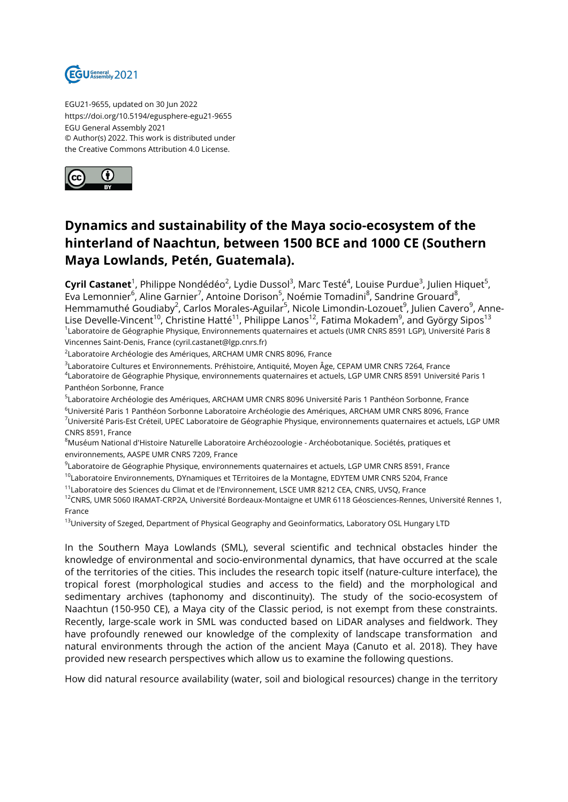

EGU21-9655, updated on 30 Jun 2022 https://doi.org/10.5194/egusphere-egu21-9655 EGU General Assembly 2021 © Author(s) 2022. This work is distributed under the Creative Commons Attribution 4.0 License.



## **Dynamics and sustainability of the Maya socio-ecosystem of the hinterland of Naachtun, between 1500 BCE and 1000 CE (Southern Maya Lowlands, Petén, Guatemala).**

**Cyril Castanet**<sup>1</sup>, Philippe Nondédéo<sup>2</sup>, Lydie Dussol<sup>3</sup>, Marc Testé<sup>4</sup>, Louise Purdue<sup>3</sup>, Julien Hiquet<sup>5</sup>, Eva Lemonnier<sup>6</sup>, Aline Garnier<sup>7</sup>, Antoine Dorison<sup>5</sup>, Noémie Tomadini<sup>8</sup>, Sandrine Grouard<sup>8</sup>, Hemmamuthé Goudiaby<sup>2</sup>, Carlos Morales-Aguilar<sup>5</sup>, Nicole Limondin-Lozouet<sup>9</sup>, Julien Cavero<sup>9</sup>, Anne-Lise Develle-Vincent<sup>10</sup>, Christine Hatté<sup>11</sup>, Philippe Lanos<sup>12</sup>, Fatima Mokadem<sup>9</sup>, and György Sipos<sup>13</sup><br><sup>1</sup>Laboratoire de Géographie Physique, Environnements quaternaires et actuels (UMR CNRS 8591 LGP), Université Paris Vincennes Saint-Denis, France (cyril.castanet@lgp.cnrs.fr)

<sup>2</sup>Laboratoire Archéologie des Amériques, ARCHAM UMR CNRS 8096, France

3 Laboratoire Cultures et Environnements. Préhistoire, Antiquité, Moyen Âge, CEPAM UMR CNRS 7264, France

4 Laboratoire de Géographie Physique, environnements quaternaires et actuels, LGP UMR CNRS 8591 Université Paris 1 Panthéon Sorbonne, France

<sup>5</sup>Laboratoire Archéologie des Amériques, ARCHAM UMR CNRS 8096 Université Paris 1 Panthéon Sorbonne, France

<sup>6</sup>Université Paris 1 Panthéon Sorbonne Laboratoire Archéologie des Amériques, ARCHAM UMR CNRS 8096, France <sup>7</sup>Université Paris-Est Créteil, UPEC Laboratoire de Géographie Physique, environnements quaternaires et actuels, LGP UMR CNRS 8591, France

<sup>8</sup>Muséum National d'Histoire Naturelle Laboratoire Archéozoologie - Archéobotanique. Sociétés, pratiques et environnements, AASPE UMR CNRS 7209, France

<sup>9</sup>Laboratoire de Géographie Physique, environnements quaternaires et actuels, LGP UMR CNRS 8591, France

<sup>10</sup>Laboratoire Environnements, DYnamiques et TErritoires de la Montagne, EDYTEM UMR CNRS 5204, France

<sup>11</sup>Laboratoire des Sciences du Climat et de l'Environnement, LSCE UMR 8212 CEA, CNRS, UVSQ, France

<sup>12</sup>CNRS, UMR 5060 IRAMAT-CRP2A, Université Bordeaux-Montaigne et UMR 6118 Géosciences-Rennes, Université Rennes 1, France

<sup>13</sup>University of Szeged, Department of Physical Geography and Geoinformatics, Laboratory OSL Hungary LTD

In the Southern Maya Lowlands (SML), several scientific and technical obstacles hinder the knowledge of environmental and socio-environmental dynamics, that have occurred at the scale of the territories of the cities. This includes the research topic itself (nature-culture interface), the tropical forest (morphological studies and access to the field) and the morphological and sedimentary archives (taphonomy and discontinuity). The study of the socio-ecosystem of Naachtun (150-950 CE), a Maya city of the Classic period, is not exempt from these constraints. Recently, large-scale work in SML was conducted based on LiDAR analyses and fieldwork. They have profoundly renewed our knowledge of the complexity of landscape transformation and natural environments through the action of the ancient Maya (Canuto et al. 2018). They have provided new research perspectives which allow us to examine the following questions.

How did natural resource availability (water, soil and biological resources) change in the territory